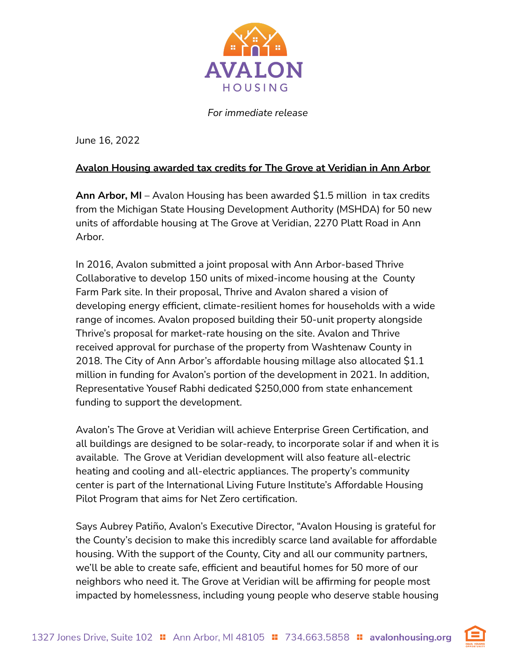

*For immediate release*

June 16, 2022

## **Avalon Housing awarded tax credits for The Grove at Veridian in Ann Arbor**

**Ann Arbor, MI** – Avalon Housing has been awarded \$1.5 million in tax credits from the Michigan State Housing Development Authority (MSHDA) for 50 new units of affordable housing at The Grove at Veridian, 2270 Platt Road in Ann Arbor.

In 2016, Avalon submitted a joint proposal with Ann Arbor-based Thrive Collaborative to develop 150 units of mixed-income housing at the County Farm Park site. In their proposal, Thrive and Avalon shared a vision of developing energy efficient, climate-resilient homes for households with a wide range of incomes. Avalon proposed building their 50-unit property alongside Thrive's proposal for market-rate housing on the site. Avalon and Thrive received approval for purchase of the property from Washtenaw County in 2018. The City of Ann Arbor's affordable housing millage also allocated \$1.1 million in funding for Avalon's portion of the development in 2021. In addition, Representative Yousef Rabhi dedicated \$250,000 from state enhancement funding to support the development.

Avalon's The Grove at Veridian will achieve Enterprise Green Certification, and all buildings are designed to be solar-ready, to incorporate solar if and when it is available. The Grove at Veridian development will also feature all-electric heating and cooling and all-electric appliances. The property's community center is part of the International Living Future Institute's Affordable Housing Pilot Program that aims for Net Zero certification.

Says Aubrey Patiño, Avalon's Executive Director, "Avalon Housing is grateful for the County's decision to make this incredibly scarce land available for affordable housing. With the support of the County, City and all our community partners, we'll be able to create safe, efficient and beautiful homes for 50 more of our neighbors who need it. The Grove at Veridian will be affirming for people most impacted by homelessness, including young people who deserve stable housing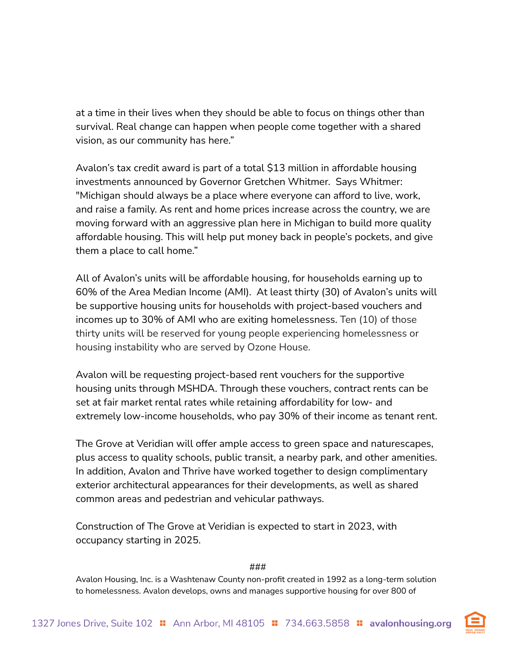at a time in their lives when they should be able to focus on things other than survival. Real change can happen when people come together with a shared vision, as our community has here."

Avalon's tax credit award is part of a total \$13 million in affordable housing investments announced by Governor Gretchen Whitmer. Says Whitmer: "Michigan should always be a place where everyone can afford to live, work, and raise a family. As rent and home prices increase across the country, we are moving forward with an aggressive plan here in Michigan to build more quality affordable housing. This will help put money back in people's pockets, and give them a place to call home."

All of Avalon's units will be affordable housing, for households earning up to 60% of the Area Median Income (AMI). At least thirty (30) of Avalon's units will be supportive housing units for households with project-based vouchers and incomes up to 30% of AMI who are exiting homelessness. Ten (10) of those thirty units will be reserved for young people experiencing homelessness or housing instability who are served by Ozone House.

Avalon will be requesting project-based rent vouchers for the supportive housing units through MSHDA. Through these vouchers, contract rents can be set at fair market rental rates while retaining affordability for low- and extremely low-income households, who pay 30% of their income as tenant rent.

The Grove at Veridian will offer ample access to green space and naturescapes, plus access to quality schools, public transit, a nearby park, and other amenities. In addition, Avalon and Thrive have worked together to design complimentary exterior architectural appearances for their developments, as well as shared common areas and pedestrian and vehicular pathways.

Construction of The Grove at Veridian is expected to start in 2023, with occupancy starting in 2025.

###

Avalon Housing, Inc. is a Washtenaw County non-profit created in 1992 as a long-term solution to homelessness. Avalon develops, owns and manages supportive housing for over 800 of